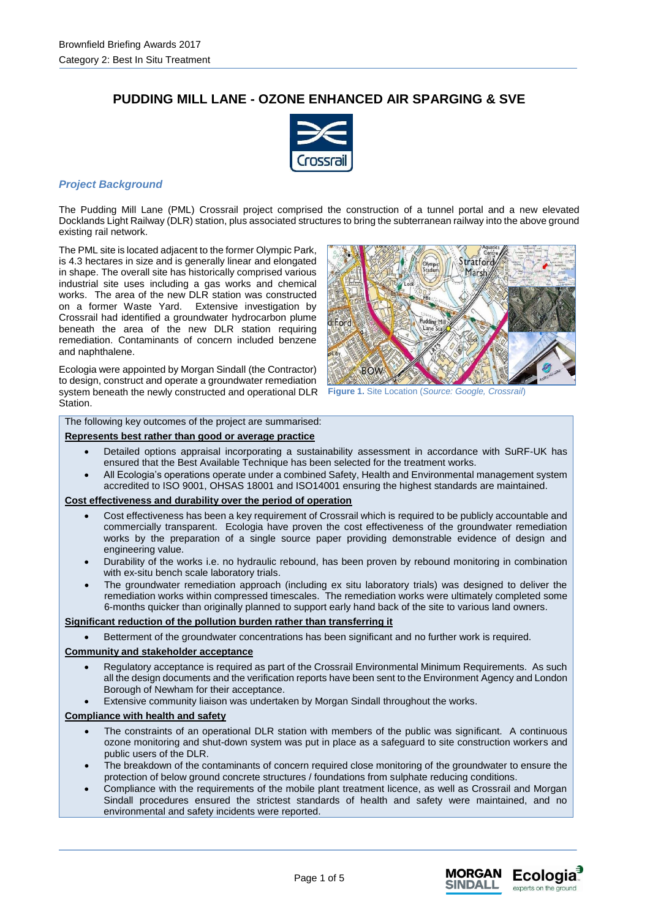# **PUDDING MILL LANE - OZONE ENHANCED AIR SPARGING & SVE**



# *Project Background*

The Pudding Mill Lane (PML) Crossrail project comprised the construction of a tunnel portal and a new elevated Docklands Light Railway (DLR) station, plus associated structures to bring the subterranean railway into the above ground existing rail network.

The PML site is located adjacent to the former Olympic Park, is 4.3 hectares in size and is generally linear and elongated in shape. The overall site has historically comprised various industrial site uses including a gas works and chemical works. The area of the new DLR station was constructed on a former Waste Yard. Extensive investigation by Crossrail had identified a groundwater hydrocarbon plume beneath the area of the new DLR station requiring remediation. Contaminants of concern included benzene and naphthalene.

Ecologia were appointed by Morgan Sindall (the Contractor) to design, construct and operate a groundwater remediation system beneath the newly constructed and operational DLR Station.



**Figure 1.** Site Location (*Source: Google, Crossrail*)

The following key outcomes of the project are summarised:

# **Represents best rather than good or average practice**

- Detailed options appraisal incorporating a sustainability assessment in accordance with SuRF-UK has ensured that the Best Available Technique has been selected for the treatment works.
- All Ecologia's operations operate under a combined Safety, Health and Environmental management system accredited to ISO 9001, OHSAS 18001 and ISO14001 ensuring the highest standards are maintained.

# **Cost effectiveness and durability over the period of operation**

- Cost effectiveness has been a key requirement of Crossrail which is required to be publicly accountable and commercially transparent. Ecologia have proven the cost effectiveness of the groundwater remediation works by the preparation of a single source paper providing demonstrable evidence of design and engineering value.
- Durability of the works i.e. no hydraulic rebound, has been proven by rebound monitoring in combination with ex-situ bench scale laboratory trials.
- The groundwater remediation approach (including ex situ laboratory trials) was designed to deliver the remediation works within compressed timescales. The remediation works were ultimately completed some 6-months quicker than originally planned to support early hand back of the site to various land owners.

#### **Significant reduction of the pollution burden rather than transferring it**

Betterment of the groundwater concentrations has been significant and no further work is required.

#### **Community and stakeholder acceptance**

- Regulatory acceptance is required as part of the Crossrail Environmental Minimum Requirements. As such all the design documents and the verification reports have been sent to the Environment Agency and London Borough of Newham for their acceptance.
- Extensive community liaison was undertaken by Morgan Sindall throughout the works.

#### **Compliance with health and safety**

- The constraints of an operational DLR station with members of the public was significant. A continuous ozone monitoring and shut-down system was put in place as a safeguard to site construction workers and public users of the DLR.
- The breakdown of the contaminants of concern required close monitoring of the groundwater to ensure the protection of below ground concrete structures / foundations from sulphate reducing conditions.
- Compliance with the requirements of the mobile plant treatment licence, as well as Crossrail and Morgan Sindall procedures ensured the strictest standards of health and safety were maintained, and no environmental and safety incidents were reported.

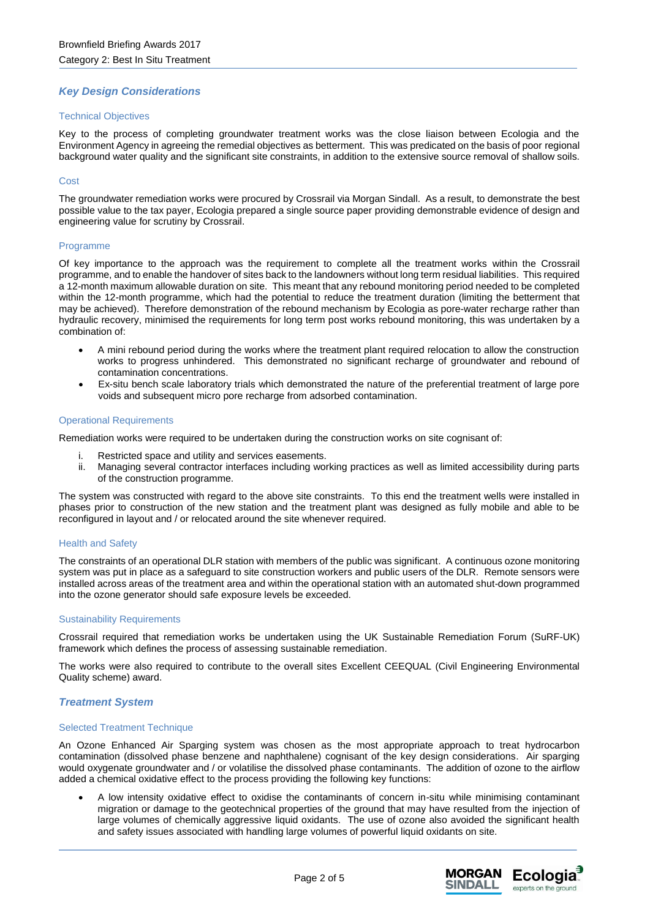# *Key Design Considerations*

### Technical Objectives

Key to the process of completing groundwater treatment works was the close liaison between Ecologia and the Environment Agency in agreeing the remedial objectives as betterment. This was predicated on the basis of poor regional background water quality and the significant site constraints, in addition to the extensive source removal of shallow soils.

# Cost

The groundwater remediation works were procured by Crossrail via Morgan Sindall. As a result, to demonstrate the best possible value to the tax payer, Ecologia prepared a single source paper providing demonstrable evidence of design and engineering value for scrutiny by Crossrail.

### Programme

Of key importance to the approach was the requirement to complete all the treatment works within the Crossrail programme, and to enable the handover of sites back to the landowners without long term residual liabilities. This required a 12-month maximum allowable duration on site. This meant that any rebound monitoring period needed to be completed within the 12-month programme, which had the potential to reduce the treatment duration (limiting the betterment that may be achieved). Therefore demonstration of the rebound mechanism by Ecologia as pore-water recharge rather than hydraulic recovery, minimised the requirements for long term post works rebound monitoring, this was undertaken by a combination of:

- A mini rebound period during the works where the treatment plant required relocation to allow the construction works to progress unhindered. This demonstrated no significant recharge of groundwater and rebound of contamination concentrations.
- Ex-situ bench scale laboratory trials which demonstrated the nature of the preferential treatment of large pore voids and subsequent micro pore recharge from adsorbed contamination.

#### Operational Requirements

Remediation works were required to be undertaken during the construction works on site cognisant of:

- Restricted space and utility and services easements.
- ii. Managing several contractor interfaces including working practices as well as limited accessibility during parts of the construction programme.

The system was constructed with regard to the above site constraints. To this end the treatment wells were installed in phases prior to construction of the new station and the treatment plant was designed as fully mobile and able to be reconfigured in layout and / or relocated around the site whenever required.

#### Health and Safety

The constraints of an operational DLR station with members of the public was significant. A continuous ozone monitoring system was put in place as a safeguard to site construction workers and public users of the DLR. Remote sensors were installed across areas of the treatment area and within the operational station with an automated shut-down programmed into the ozone generator should safe exposure levels be exceeded.

#### Sustainability Requirements

Crossrail required that remediation works be undertaken using the UK Sustainable Remediation Forum (SuRF-UK) framework which defines the process of assessing sustainable remediation.

The works were also required to contribute to the overall sites Excellent CEEQUAL (Civil Engineering Environmental Quality scheme) award.

# *Treatment System*

#### Selected Treatment Technique

An Ozone Enhanced Air Sparging system was chosen as the most appropriate approach to treat hydrocarbon contamination (dissolved phase benzene and naphthalene) cognisant of the key design considerations. Air sparging would oxygenate groundwater and / or volatilise the dissolved phase contaminants. The addition of ozone to the airflow added a chemical oxidative effect to the process providing the following key functions:

• A low intensity oxidative effect to oxidise the contaminants of concern in-situ while minimising contaminant migration or damage to the geotechnical properties of the ground that may have resulted from the injection of large volumes of chemically aggressive liquid oxidants. The use of ozone also avoided the significant health and safety issues associated with handling large volumes of powerful liquid oxidants on site.

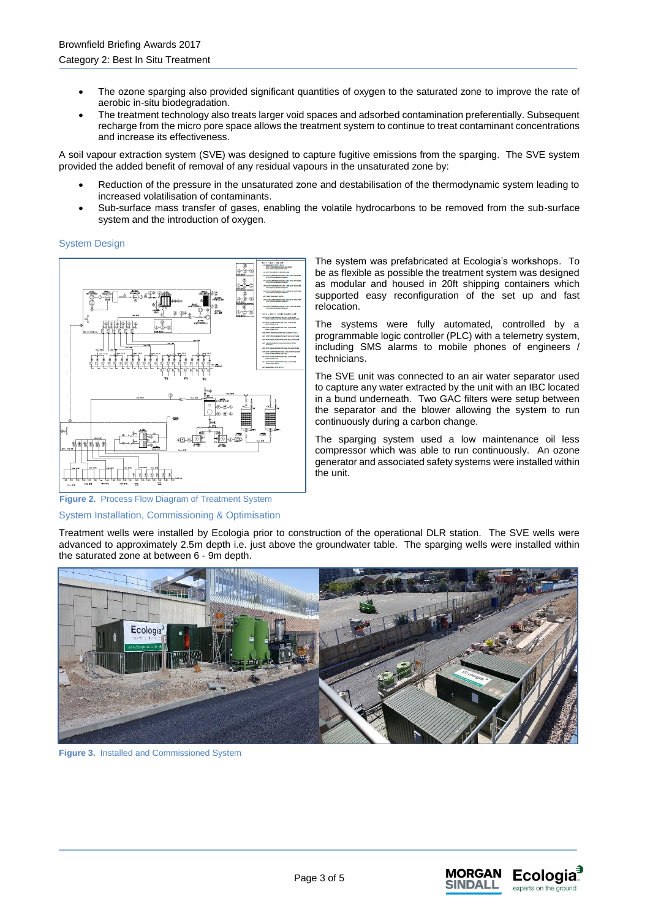- The ozone sparging also provided significant quantities of oxygen to the saturated zone to improve the rate of aerobic in-situ biodegradation.
- The treatment technology also treats larger void spaces and adsorbed contamination preferentially. Subsequent recharge from the micro pore space allows the treatment system to continue to treat contaminant concentrations and increase its effectiveness.

A soil vapour extraction system (SVE) was designed to capture fugitive emissions from the sparging. The SVE system provided the added benefit of removal of any residual vapours in the unsaturated zone by:

- Reduction of the pressure in the unsaturated zone and destabilisation of the thermodynamic system leading to increased volatilisation of contaminants.
- Sub-surface mass transfer of gases, enabling the volatile hydrocarbons to be removed from the sub-surface system and the introduction of oxygen.

System Design



The system was prefabricated at Ecologia's workshops. To be as flexible as possible the treatment system was designed as modular and housed in 20ft shipping containers which supported easy reconfiguration of the set up and fast relocation.

The systems were fully automated, controlled by a programmable logic controller (PLC) with a telemetry system, including SMS alarms to mobile phones of engineers / technicians.

The SVE unit was connected to an air water separator used to capture any water extracted by the unit with an IBC located in a bund underneath. Two GAC filters were setup between the separator and the blower allowing the system to run continuously during a carbon change.

The sparging system used a low maintenance oil less compressor which was able to run continuously. An ozone generator and associated safety systems were installed within the unit.

# **Figure 2.** Process Flow Diagram of Treatment System

#### System Installation, Commissioning & Optimisation

Treatment wells were installed by Ecologia prior to construction of the operational DLR station. The SVE wells were advanced to approximately 2.5m depth i.e. just above the groundwater table. The sparging wells were installed within the saturated zone at between 6 - 9m depth.



**Figure 3.** Installed and Commissioned System

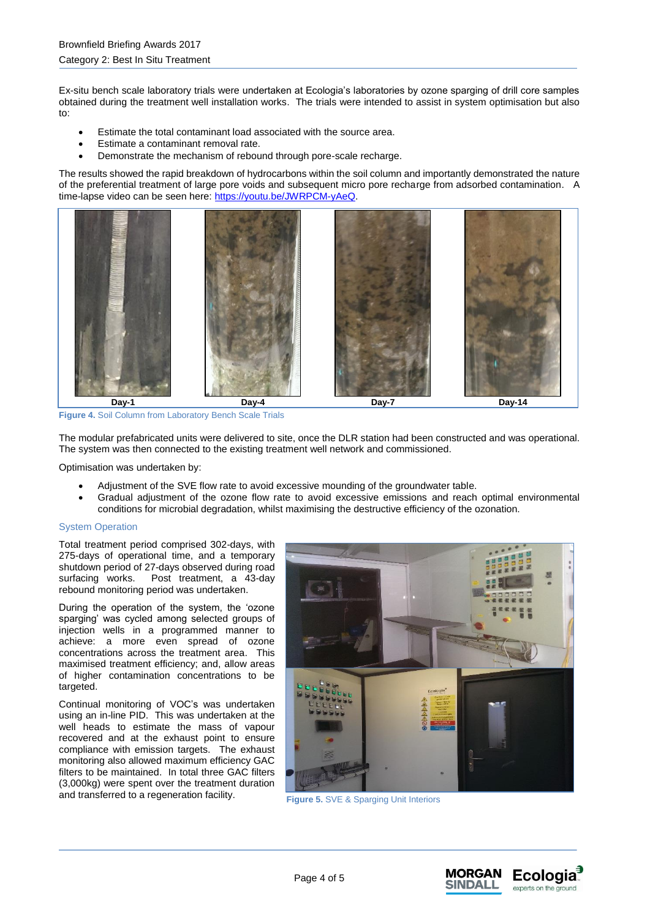Ex-situ bench scale laboratory trials were undertaken at Ecologia's laboratories by ozone sparging of drill core samples obtained during the treatment well installation works. The trials were intended to assist in system optimisation but also to:

- Estimate the total contaminant load associated with the source area.
- Estimate a contaminant removal rate.
- Demonstrate the mechanism of rebound through pore-scale recharge.

The results showed the rapid breakdown of hydrocarbons within the soil column and importantly demonstrated the nature of the preferential treatment of large pore voids and subsequent micro pore recharge from adsorbed contamination. A time-lapse video can be seen here: [https://youtu.be/JWRPCM-yAeQ.](https://youtu.be/JWRPCM-yAeQ)

**Day-1 Day-4 Day-7 Day-14**

**Figure 4.** Soil Column from Laboratory Bench Scale Trials

The modular prefabricated units were delivered to site, once the DLR station had been constructed and was operational. The system was then connected to the existing treatment well network and commissioned.

Optimisation was undertaken by:

- Adjustment of the SVE flow rate to avoid excessive mounding of the groundwater table.
- Gradual adjustment of the ozone flow rate to avoid excessive emissions and reach optimal environmental conditions for microbial degradation, whilst maximising the destructive efficiency of the ozonation.

# System Operation

Total treatment period comprised 302-days, with 275-days of operational time, and a temporary shutdown period of 27-days observed during road surfacing works. Post treatment, a 43-day rebound monitoring period was undertaken.

During the operation of the system, the 'ozone sparging' was cycled among selected groups of injection wells in a programmed manner to achieve: a more even spread of ozone concentrations across the treatment area. This maximised treatment efficiency; and, allow areas of higher contamination concentrations to be targeted.

Continual monitoring of VOC's was undertaken using an in-line PID. This was undertaken at the well heads to estimate the mass of vapour recovered and at the exhaust point to ensure compliance with emission targets. The exhaust monitoring also allowed maximum efficiency GAC filters to be maintained. In total three GAC filters (3,000kg) were spent over the treatment duration and transferred to a regeneration facility.<br>Figure 5. SVE & Sparging Unit Interiors